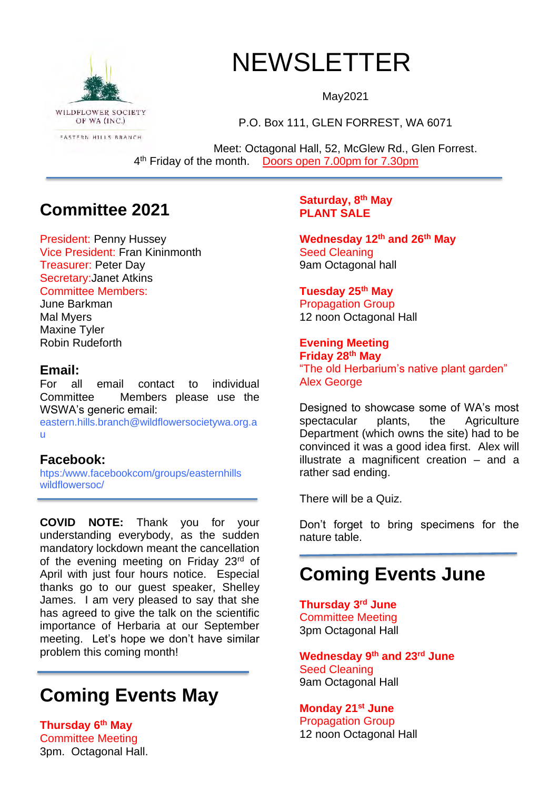

# NEWSLETTER

May2021

P.O. Box 111, GLEN FORREST, WA 6071

Meet: Octagonal Hall, 52, McGlew Rd., Glen Forrest. 4<sup>th</sup> Friday of the month. Doors open 7.00pm for 7.30pm

## **Committee 2021**

President: Penny Hussey Vice President: Fran Kininmonth Treasurer: Peter Day Secretary:Janet Atkins Committee Members:

June Barkman Mal Myers Maxine Tyler Robin Rudeforth

### **Email:**

For all email contact to individual Committee Members please use the WSWA's generic email:

eastern.hills.branch@wildflowersocietywa.org.a u

## **Facebook:**

htps:/www.facebookcom/groups/easternhills wildflowersoc/

**COVID NOTE:** Thank you for your understanding everybody, as the sudden mandatory lockdown meant the cancellation of the evening meeting on Friday 23rd of April with just four hours notice. Especial thanks go to our guest speaker, Shelley James. I am very pleased to say that she has agreed to give the talk on the scientific importance of Herbaria at our September meeting. Let's hope we don't have similar problem this coming month!

# **Coming Events May**

**Thursday 6 th May** Committee Meeting 3pm. Octagonal Hall.

### **Saturday, 8th May PLANT SALE**

**Wednesday 12th and 26th May** Seed Cleaning 9am Octagonal hall

## **Tuesday 25th May**

Propagation Group 12 noon Octagonal Hall

## **Evening Meeting**

**Friday 28th May** "The old Herbarium's native plant garden" **Alex George** 

Designed to showcase some of WA's most spectacular plants, the Agriculture Department (which owns the site) had to be convinced it was a good idea first. Alex will illustrate a magnificent creation – and a rather sad ending.

There will be a Quiz.

Don't forget to bring specimens for the nature table.

## **Coming Events June**

**Thursday 3rd June** Committee Meeting 3pm Octagonal Hall

**Wednesday 9th and 23rd June** Seed Cleaning 9am Octagonal Hall

**Monday 21st June** Propagation Group 12 noon Octagonal Hall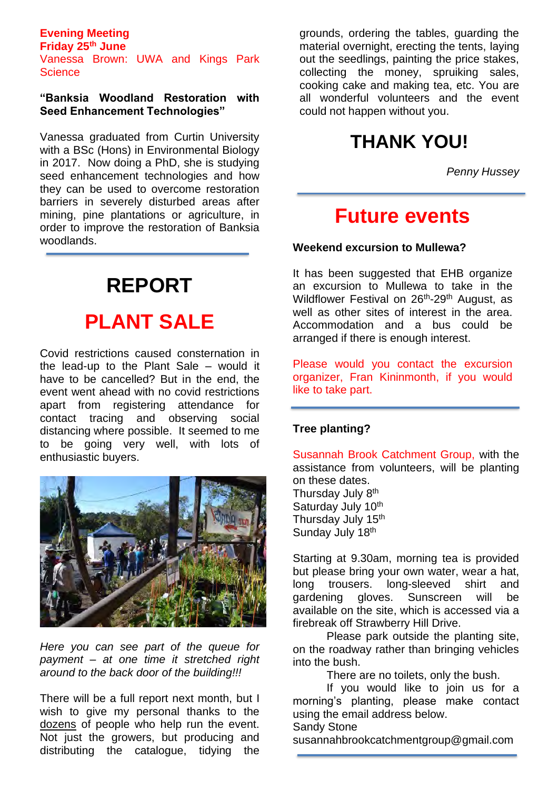#### **Evening Meeting Friday 25th June**

Vanessa Brown: UWA and Kings Park **Science** 

#### **"Banksia Woodland Restoration with Seed Enhancement Technologies"**

Vanessa graduated from Curtin University with a BSc (Hons) in Environmental Biology in 2017. Now doing a PhD, she is studying seed enhancement technologies and how they can be used to overcome restoration barriers in severely disturbed areas after mining, pine plantations or agriculture, in order to improve the restoration of Banksia woodlands.

# **REPORT PLANT SALE**

Covid restrictions caused consternation in the lead-up to the Plant Sale – would it have to be cancelled? But in the end, the event went ahead with no covid restrictions apart from registering attendance for contact tracing and observing social distancing where possible. It seemed to me to be going very well, with lots of enthusiastic buyers.



*Here you can see part of the queue for payment – at one time it stretched right around to the back door of the building!!!*

There will be a full report next month, but I wish to give my personal thanks to the dozens of people who help run the event. Not just the growers, but producing and distributing the catalogue, tidying the

grounds, ordering the tables, guarding the material overnight, erecting the tents, laying out the seedlings, painting the price stakes, collecting the money, spruiking sales, cooking cake and making tea, etc. You are all wonderful volunteers and the event could not happen without you.

# **THANK YOU!**

*Penny Hussey*

## **Future events**

#### **Weekend excursion to Mullewa?**

It has been suggested that EHB organize an excursion to Mullewa to take in the Wildflower Festival on 26<sup>th</sup>-29<sup>th</sup> August, as well as other sites of interest in the area. Accommodation and a bus could be arranged if there is enough interest.

Please would you contact the excursion organizer, Fran Kininmonth, if you would like to take part.

#### **Tree planting?**

Susannah Brook Catchment Group, with the assistance from volunteers, will be planting on these dates. Thursday July 8<sup>th</sup> Saturday July 10th

Thursday July 15<sup>th</sup> Sunday July 18<sup>th</sup>

Starting at 9.30am, morning tea is provided but please bring your own water, wear a hat, long trousers. long-sleeved shirt and gardening gloves. Sunscreen will be available on the site, which is accessed via a firebreak off Strawberry Hill Drive.

Please park outside the planting site, on the roadway rather than bringing vehicles into the bush.

There are no toilets, only the bush.

If you would like to join us for a morning's planting, please make contact using the email address below.

Sandy Stone

susannahbrookcatchmentgroup@gmail.com